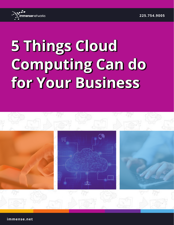

# **5 Things Cloud Computing Can do for Your Business**



**immense.net**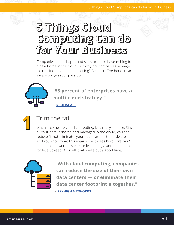# **5 Things Cloud Computing Can do for Your Business**

Companies of all shapes and sizes are rapidly searching for a new home in the cloud. But why are companies so eager to transition to cloud computing? Because. The benefits are simply too great to pass up.



**"85 percent of enterprises have a multi-cloud strategy."**

 **- RIGHTSCALE**



## Trim the fat.

When it comes to cloud computing, less really is more. Since all your data is stored and managed in the cloud, you can reduce (if not eliminate) your need for onsite hardware. And you know what this means... With less hardware, you'll experience fewer hassles, use less energy, and be responsible for less upkeep. All in all, that spells out a good time.



**"With cloud computing, companies can reduce the size of their own data centers — or eliminate their data center footprint altogether."**

**- SKYHIGH NETWORKS**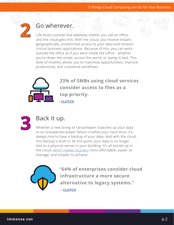

### Go wherever.

Life exists outside that weekday shelter you call an office, and the cloud gets this. With the cloud, you receive instant, geographically unrestricted access to your data and missioncritical business applications. Because of this, you can work outside the office as if you were inside the office - whether you're down the street, across the world, or laying in bed. This level of mobility allows you to maximize opportunities, improve productivity, and customize workflows.



**23% of SMBs using cloud services consider access to files as a top priority.** 



#### Back it up.

**- CLUTCH**

Whether a new string of ransomware snatches up your data or an unexpected power failure crashes your hard drive, it's always nice to have a backup of your data. And with the cloud, this backup is built in. At this point, your data is no longer tied to a physical server in your building. It's all stored up in the cloud, which makes recovery more affordable, easier to manage, and simpler to achieve.



**"64% of enterprises consider cloud infrastructure a more secure alternative to legacy systems."**

 **- CLUTCH**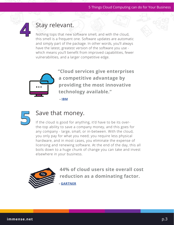

### Stay relevant.

Nothing tops that new software smell, and with the cloud, this smell is a frequent one. Software updates are automatic and simply part of the package. In other words, you'll always have the latest, greatest version of the software you use which means you'll benefit from improved capabilities, fewer vulnerabilities, and a larger competitive edge.



**"Cloud services give enterprises a competitive advantage by providing the most innovative technology available."**



**5**

#### Save that money.

 **- IBM**

If the cloud is good for anything, it'd have to be its overthe-top ability to save a company money, and this goes for any company - large, small, or in-between. With the cloud, you only pay for what you need; you require less physical hardware, and in most cases, you eliminate the expense of licensing and renewing software. At the end of the day, this all boils down to a huge chunk of change you can take and invest elsewhere in your business.



**44% of cloud users site overall cost reduction as a dominating factor. - GARTNER**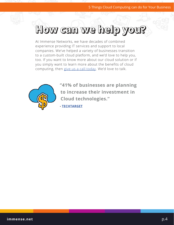# **How can we help you?**

At Immense Networks, we have decades of combined experience providing IT services and support to local companies. We've helped a variety of businesses transition to a custom-built cloud platform, and we'd love to help you, too. If you want to know more about our cloud solution or if you simply want to learn more about the benefits of cloud computing, then give us a call today. We'd love to talk.



**"41% of businesses are planning to increase their investment in Cloud technologies."** 

**- TECHTARGET**